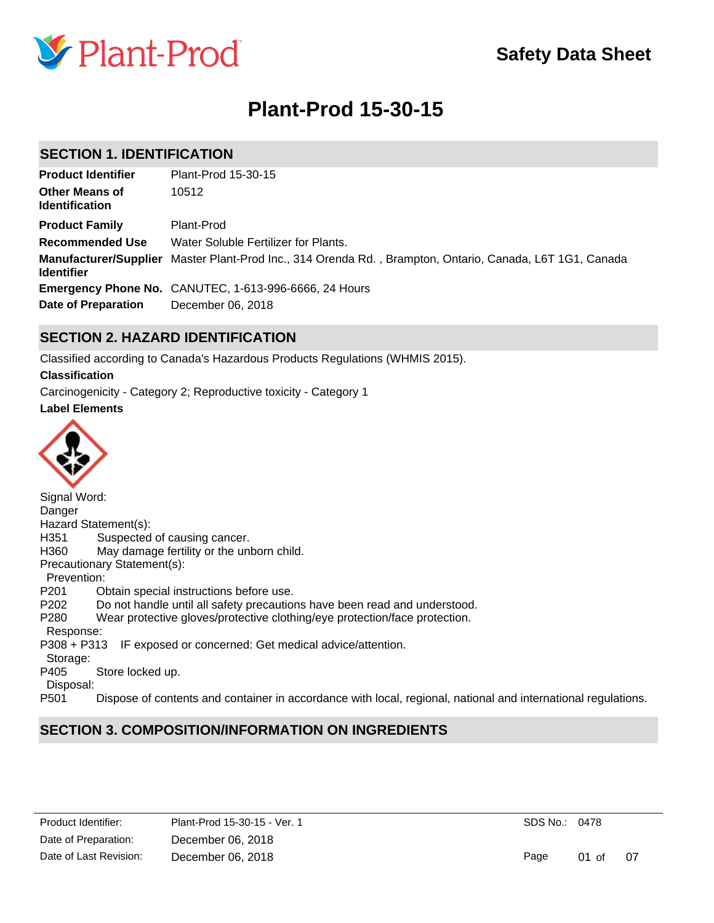

# **Plant-Prod 15-30-15**

# **SECTION 1. IDENTIFICATION**

| <b>Product Identifier</b>                      | Plant-Prod 15-30-15                                                                                      |
|------------------------------------------------|----------------------------------------------------------------------------------------------------------|
| <b>Other Means of</b><br><b>Identification</b> | 10512                                                                                                    |
| <b>Product Family</b>                          | Plant-Prod                                                                                               |
| <b>Recommended Use</b>                         | Water Soluble Fertilizer for Plants.                                                                     |
| <b>Identifier</b>                              | Manufacturer/Supplier Master Plant-Prod Inc., 314 Orenda Rd., Brampton, Ontario, Canada, L6T 1G1, Canada |
|                                                | <b>Emergency Phone No.</b> CANUTEC, 1-613-996-6666, 24 Hours                                             |
| Date of Preparation                            | December 06, 2018                                                                                        |

# **SECTION 2. HAZARD IDENTIFICATION**

Classified according to Canada's Hazardous Products Regulations (WHMIS 2015).

### **Classification**

Carcinogenicity - Category 2; Reproductive toxicity - Category 1

**Label Elements**



| Signal Word:     |                                                                                                               |
|------------------|---------------------------------------------------------------------------------------------------------------|
| Danger           |                                                                                                               |
|                  | Hazard Statement(s):                                                                                          |
| H351             | Suspected of causing cancer.                                                                                  |
| H360             | May damage fertility or the unborn child.                                                                     |
|                  | Precautionary Statement(s):                                                                                   |
| Prevention:      |                                                                                                               |
| P <sub>201</sub> | Obtain special instructions before use.                                                                       |
| P <sub>202</sub> | Do not handle until all safety precautions have been read and understood.                                     |
| P280             | Wear protective gloves/protective clothing/eye protection/face protection.                                    |
| Response:        |                                                                                                               |
| P308 + P313      | IF exposed or concerned: Get medical advice/attention.                                                        |
| Storage:         |                                                                                                               |
| P405             | Store locked up.                                                                                              |
| Disposal:        |                                                                                                               |
| P <sub>501</sub> | Dispose of contents and container in accordance with local, regional, national and international regulations. |
|                  |                                                                                                               |

# **SECTION 3. COMPOSITION/INFORMATION ON INGREDIENTS**

| Product Identifier:    | Plant-Prod 15-30-15 - Ver. 1 |
|------------------------|------------------------------|
| Date of Preparation:   | December 06, 2018            |
| Date of Last Revision: | December 06, 2018            |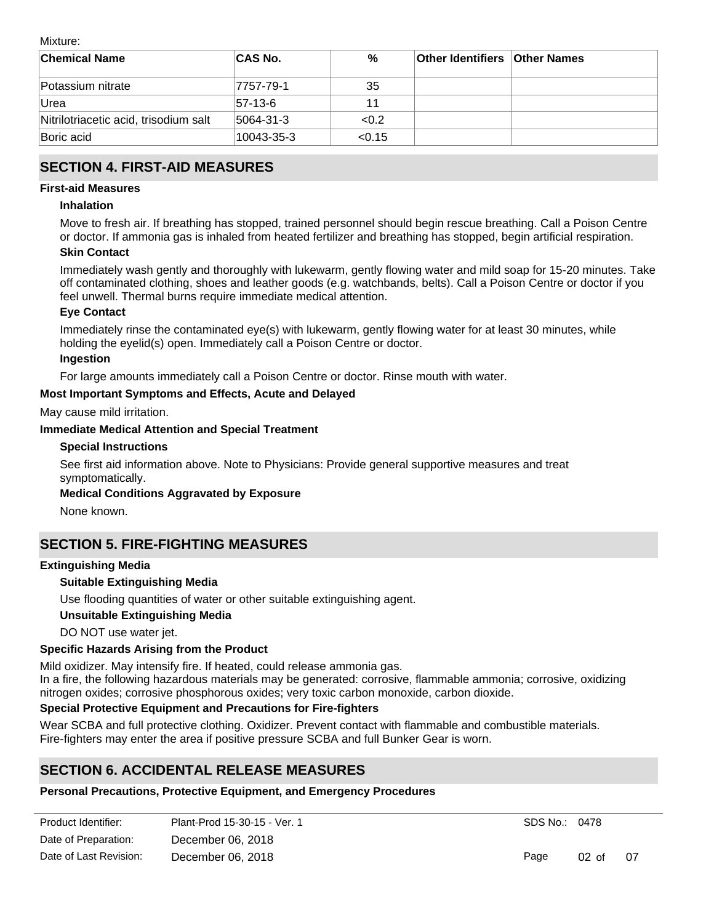Mixture:

| <b>Chemical Name</b>                  | <b>CAS No.</b> | %      | <b>Other Identifiers Other Names</b> |  |
|---------------------------------------|----------------|--------|--------------------------------------|--|
| Potassium nitrate                     | 7757-79-1      | 35     |                                      |  |
| Urea                                  | 57-13-6        | 11     |                                      |  |
| Nitrilotriacetic acid, trisodium salt | 5064-31-3      | < 0.2  |                                      |  |
| Boric acid                            | 10043-35-3     | < 0.15 |                                      |  |

# **SECTION 4. FIRST-AID MEASURES**

### **First-aid Measures**

#### **Inhalation**

Move to fresh air. If breathing has stopped, trained personnel should begin rescue breathing. Call a Poison Centre or doctor. If ammonia gas is inhaled from heated fertilizer and breathing has stopped, begin artificial respiration.

### **Skin Contact**

Immediately wash gently and thoroughly with lukewarm, gently flowing water and mild soap for 15-20 minutes. Take off contaminated clothing, shoes and leather goods (e.g. watchbands, belts). Call a Poison Centre or doctor if you feel unwell. Thermal burns require immediate medical attention.

### **Eye Contact**

Immediately rinse the contaminated eye(s) with lukewarm, gently flowing water for at least 30 minutes, while holding the eyelid(s) open. Immediately call a Poison Centre or doctor.

### **Ingestion**

For large amounts immediately call a Poison Centre or doctor. Rinse mouth with water.

### **Most Important Symptoms and Effects, Acute and Delayed**

May cause mild irritation.

### **Immediate Medical Attention and Special Treatment**

#### **Special Instructions**

See first aid information above. Note to Physicians: Provide general supportive measures and treat symptomatically.

### **Medical Conditions Aggravated by Exposure**

None known.

# **SECTION 5. FIRE-FIGHTING MEASURES**

### **Extinguishing Media**

### **Suitable Extinguishing Media**

Use flooding quantities of water or other suitable extinguishing agent.

### **Unsuitable Extinguishing Media**

DO NOT use water jet.

### **Specific Hazards Arising from the Product**

Mild oxidizer. May intensify fire. If heated, could release ammonia gas. In a fire, the following hazardous materials may be generated: corrosive, flammable ammonia; corrosive, oxidizing nitrogen oxides; corrosive phosphorous oxides; very toxic carbon monoxide, carbon dioxide.

### **Special Protective Equipment and Precautions for Fire-fighters**

Wear SCBA and full protective clothing. Oxidizer. Prevent contact with flammable and combustible materials. Fire-fighters may enter the area if positive pressure SCBA and full Bunker Gear is worn.

Use the personal protective equipment recommended in Section 8 of this safety data sheet. Remove or isolate

# **SECTION 6. ACCIDENTAL RELEASE MEASURES**

# **Personal Precautions, Protective Equipment, and Emergency Procedures**

| Product Identifier:    | Plant-Prod 15-30-15 - Ver. 1 | SDS No.: 0 |  |
|------------------------|------------------------------|------------|--|
| Date of Preparation:   | December 06, 2018            |            |  |
| Date of Last Revision: | December 06, 2018            | Page       |  |

SDS No.: 0478

Page 02 of 07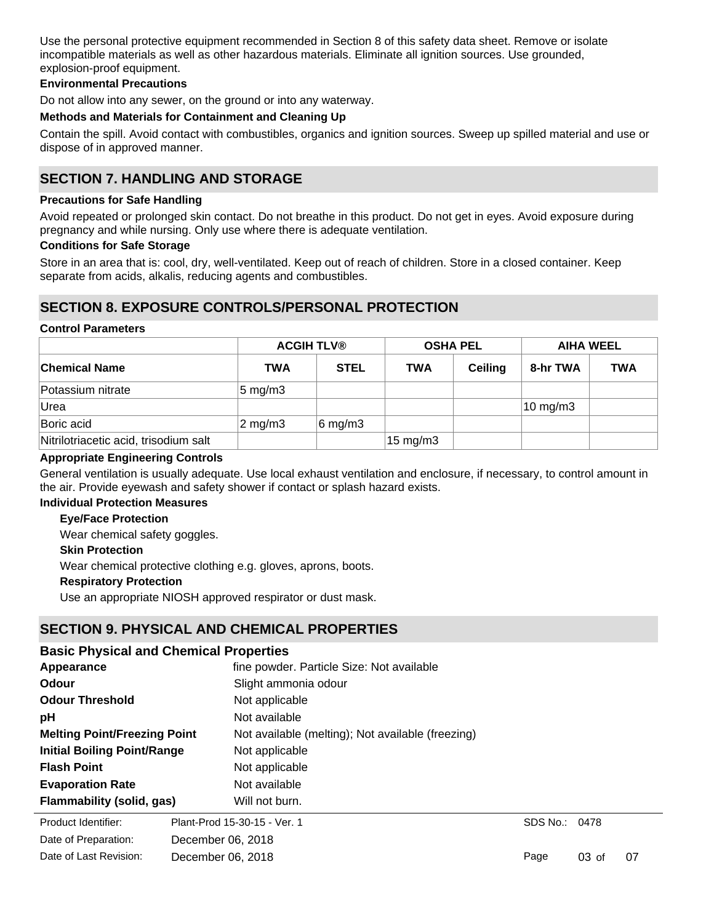Use the personal protective equipment recommended in Section 8 of this safety data sheet. Remove or isolate incompatible materials as well as other hazardous materials. Eliminate all ignition sources. Use grounded, explosion-proof equipment.

### **Environmental Precautions**

Do not allow into any sewer, on the ground or into any waterway.

#### **Methods and Materials for Containment and Cleaning Up**

Contain the spill. Avoid contact with combustibles, organics and ignition sources. Sweep up spilled material and use or dispose of in approved manner.

# **SECTION 7. HANDLING AND STORAGE**

#### **Precautions for Safe Handling**

Avoid repeated or prolonged skin contact. Do not breathe in this product. Do not get in eyes. Avoid exposure during pregnancy and while nursing. Only use where there is adequate ventilation.

#### **Conditions for Safe Storage**

Store in an area that is: cool, dry, well-ventilated. Keep out of reach of children. Store in a closed container. Keep separate from acids, alkalis, reducing agents and combustibles.

### **SECTION 8. EXPOSURE CONTROLS/PERSONAL PROTECTION**

### **Control Parameters**

|                                       | <b>ACGIH TLV®</b>  |                   | <b>OSHA PEL</b> |                | <b>AIHA WEEL</b>    |            |
|---------------------------------------|--------------------|-------------------|-----------------|----------------|---------------------|------------|
| <b>Chemical Name</b>                  | <b>TWA</b>         | <b>STEL</b>       | <b>TWA</b>      | <b>Ceiling</b> | 8-hr TWA            | <b>TWA</b> |
| Potassium nitrate                     | $5 \text{ mg/m}$ 3 |                   |                 |                |                     |            |
| Urea                                  |                    |                   |                 |                | $10 \text{ mg/m}$ 3 |            |
| Boric acid                            | $2 \text{ mg/m}$ 3 | $6 \text{ mg/m3}$ |                 |                |                     |            |
| Nitrilotriacetic acid, trisodium salt |                    |                   | 15 mg/m3        |                |                     |            |

#### **Appropriate Engineering Controls**

General ventilation is usually adequate. Use local exhaust ventilation and enclosure, if necessary, to control amount in the air. Provide eyewash and safety shower if contact or splash hazard exists.

### **Individual Protection Measures**

### **Eye/Face Protection**

Wear chemical safety goggles.

#### **Skin Protection**

Wear chemical protective clothing e.g. gloves, aprons, boots.

#### **Respiratory Protection**

Use an appropriate NIOSH approved respirator or dust mask.

### **SECTION 9. PHYSICAL AND CHEMICAL PROPERTIES**

# **pH** Not available **Appearance fine powder. Particle Size: Not available Odour** Slight ammonia odour **Odour Threshold** Not applicable **Initial Boiling Point/Range** Not applicable **Evaporation Rate** Not available **Flash Point** Not applicable **Melting Point/Freezing Point** Not available (melting); Not available (freezing) **Product Identifier:** Product Identifier: Plant-Prod 15-30-15 - Ver. 1 **Basic Physical and Chemical Properties Flammability (solid, gas)** Will not burn.

**Explosive Limit** Date of Preparation: December 06, 2018 Date of Last Revision: December 06, 2018

SDS No.: 0478

Page 03 of 07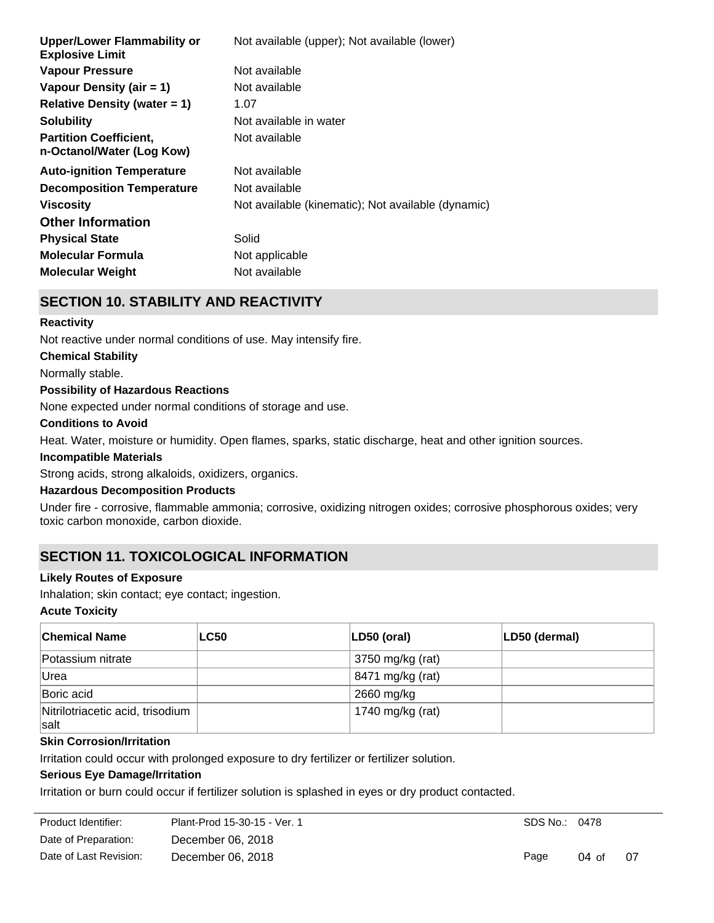| <b>Upper/Lower Flammability or</b><br><b>Explosive Limit</b> | Not available (upper); Not available (lower)       |
|--------------------------------------------------------------|----------------------------------------------------|
| <b>Vapour Pressure</b>                                       | Not available                                      |
| Vapour Density (air = 1)                                     | Not available                                      |
| Relative Density (water $= 1$ )                              | 1.07                                               |
| <b>Solubility</b>                                            | Not available in water                             |
| <b>Partition Coefficient,</b><br>n-Octanol/Water (Log Kow)   | Not available                                      |
| <b>Auto-ignition Temperature</b>                             | Not available                                      |
| <b>Decomposition Temperature</b>                             | Not available                                      |
| <b>Viscosity</b>                                             | Not available (kinematic); Not available (dynamic) |
| <b>Other Information</b>                                     |                                                    |
| <b>Physical State</b>                                        | Solid                                              |
| <b>Molecular Formula</b>                                     | Not applicable                                     |
| <b>Molecular Weight</b>                                      | Not available                                      |

# **SECTION 10. STABILITY AND REACTIVITY**

### **Reactivity**

Not reactive under normal conditions of use. May intensify fire.

#### **Chemical Stability**

Normally stable.

### **Possibility of Hazardous Reactions**

None expected under normal conditions of storage and use.

### **Conditions to Avoid**

Heat. Water, moisture or humidity. Open flames, sparks, static discharge, heat and other ignition sources.

### **Incompatible Materials**

Strong acids, strong alkaloids, oxidizers, organics.

### **Hazardous Decomposition Products**

Under fire - corrosive, flammable ammonia; corrosive, oxidizing nitrogen oxides; corrosive phosphorous oxides; very toxic carbon monoxide, carbon dioxide.

# **SECTION 11. TOXICOLOGICAL INFORMATION**

### **Likely Routes of Exposure**

Inhalation; skin contact; eye contact; ingestion.

#### **Acute Toxicity**

| <b>Chemical Name</b>                      | <b>LC50</b> | LD50 (oral)      | LD50 (dermal) |
|-------------------------------------------|-------------|------------------|---------------|
| Potassium nitrate                         |             | 3750 mg/kg (rat) |               |
| Urea                                      |             | 8471 mg/kg (rat) |               |
| Boric acid                                |             | 2660 mg/kg       |               |
| Nitrilotriacetic acid, trisodium<br>∣salt |             | 1740 mg/kg (rat) |               |

### **Skin Corrosion/Irritation**

Irritation could occur with prolonged exposure to dry fertilizer or fertilizer solution.

# **Serious Eye Damage/Irritation**

Irritation or burn could occur if fertilizer solution is splashed in eyes or dry product contacted.

| Plant-Prod 15-30-15 - Ver. 1 |
|------------------------------|
| December 06, 2018            |
| December 06, 2018            |
|                              |

**STOT (Specific Target Organ Toxicity) - Single Exposure**

SDS No.: 0478

Page 04 of 07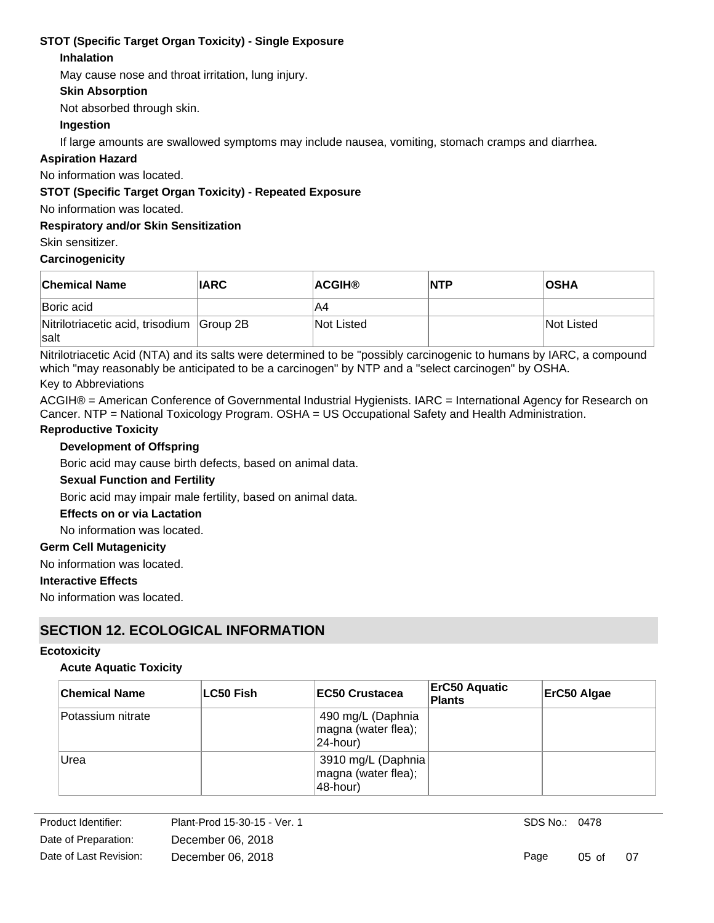# **STOT (Specific Target Organ Toxicity) - Single Exposure**

### **Inhalation**

May cause nose and throat irritation, lung injury.

### **Skin Absorption**

Not absorbed through skin.

### **Ingestion**

If large amounts are swallowed symptoms may include nausea, vomiting, stomach cramps and diarrhea.

### **Aspiration Hazard**

No information was located.

### **STOT (Specific Target Organ Toxicity) - Repeated Exposure**

No information was located.

### **Respiratory and/or Skin Sensitization**

Skin sensitizer.

### **Carcinogenicity**

| <b>Chemical Name</b>                                     | <b>IARC</b> | <b>ACGIH®</b> | <b>NTP</b> | <b>OSHA</b> |
|----------------------------------------------------------|-------------|---------------|------------|-------------|
| Boric acid                                               |             | A4            |            |             |
| Nitrilotriacetic acid, trisodium Group 2B<br><b>Salt</b> |             | Not Listed    |            | Not Listed  |

Nitrilotriacetic Acid (NTA) and its salts were determined to be "possibly carcinogenic to humans by IARC, a compound which "may reasonably be anticipated to be a carcinogen" by NTP and a "select carcinogen" by OSHA.

### Key to Abbreviations

ACGIH® = American Conference of Governmental Industrial Hygienists. IARC = International Agency for Research on Cancer. NTP = National Toxicology Program. OSHA = US Occupational Safety and Health Administration.

### **Reproductive Toxicity**

### **Development of Offspring**

Boric acid may cause birth defects, based on animal data.

### **Sexual Function and Fertility**

Boric acid may impair male fertility, based on animal data.

### **Effects on or via Lactation**

No information was located.

### **Germ Cell Mutagenicity**

No information was located.

### **Interactive Effects**

No information was located.

# **SECTION 12. ECOLOGICAL INFORMATION**

### **Ecotoxicity**

### **Acute Aquatic Toxicity**

| <b>Chemical Name</b> | ∣LC50 Fish | <b>IEC50 Crustacea</b>                                   | <b>ErC50 Aquatic</b><br><b>Plants</b> | ErC50 Algae |
|----------------------|------------|----------------------------------------------------------|---------------------------------------|-------------|
| Potassium nitrate    |            | 490 mg/L (Daphnia<br>magna (water flea);<br>$ 24$ -hour) |                                       |             |
| Urea                 |            | 3910 mg/L (Daphnia)<br>magna (water flea);<br>48-hour)   |                                       |             |

SDS No.: 0478

Page 05 of 07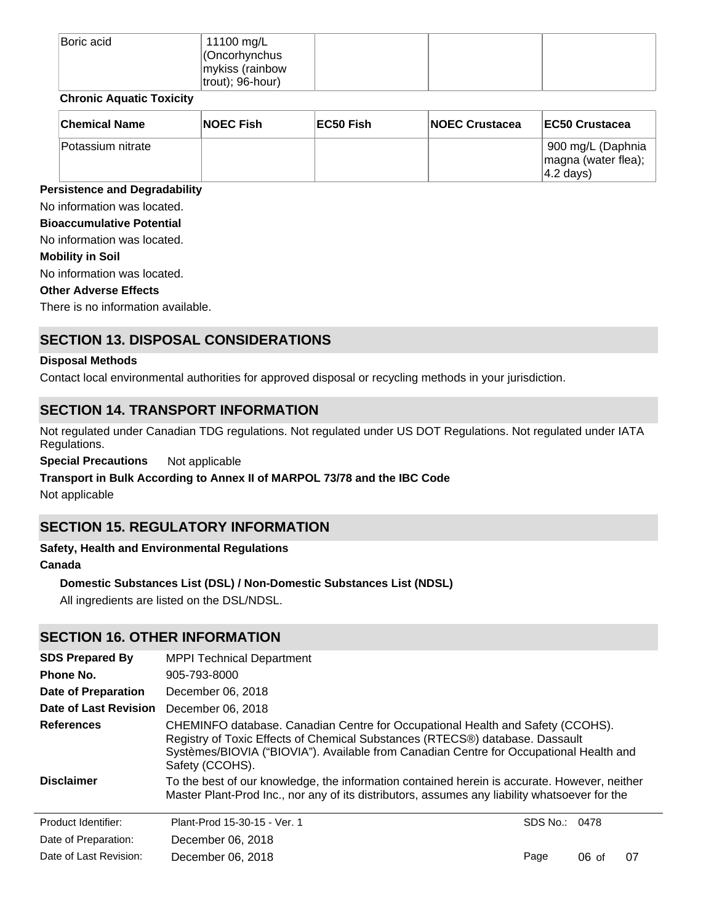| Boric acid | 11100 mg/L           |  |  |
|------------|----------------------|--|--|
|            | $ $ (Oncorhynchus    |  |  |
|            | mykiss (rainbow      |  |  |
|            | $ $ trout); 96-hour) |  |  |

### **Chronic Aquatic Toxicity**

| <b>Chemical Name</b> | <b>NOEC Fish</b> | EC50 Fish | <b>INOEC Crustacea</b> | <b>IEC50 Crustacea</b>                                           |
|----------------------|------------------|-----------|------------------------|------------------------------------------------------------------|
| lPotassium nitrate   |                  |           |                        | 900 mg/L (Daphnia<br>magna (water flea);<br>$ 4.2 \text{ days} $ |

### **Persistence and Degradability**

No information was located.

#### **Bioaccumulative Potential**

No information was located.

### **Mobility in Soil**

No information was located.

#### **Other Adverse Effects**

There is no information available.

# **SECTION 13. DISPOSAL CONSIDERATIONS**

### **Disposal Methods**

Contact local environmental authorities for approved disposal or recycling methods in your jurisdiction.

# **SECTION 14. TRANSPORT INFORMATION**

Not regulated under Canadian TDG regulations. Not regulated under US DOT Regulations. Not regulated under IATA Regulations.

**Special Precautions** Not applicable

### **Transport in Bulk According to Annex II of MARPOL 73/78 and the IBC Code**

Not applicable

# **SECTION 15. REGULATORY INFORMATION**

# **Safety, Health and Environmental Regulations**

# **Canada**

### **Domestic Substances List (DSL) / Non-Domestic Substances List (NDSL)**

All ingredients are listed on the DSL/NDSL.

# **SECTION 16. OTHER INFORMATION**

| <b>SDS Prepared By</b> | <b>MPPI Technical Department</b>                                                                                                                                                                                                                                            |          |         |    |
|------------------------|-----------------------------------------------------------------------------------------------------------------------------------------------------------------------------------------------------------------------------------------------------------------------------|----------|---------|----|
| Phone No.              | 905-793-8000                                                                                                                                                                                                                                                                |          |         |    |
| Date of Preparation    | December 06, 2018                                                                                                                                                                                                                                                           |          |         |    |
| Date of Last Revision  | December 06, 2018                                                                                                                                                                                                                                                           |          |         |    |
| <b>References</b>      | CHEMINFO database. Canadian Centre for Occupational Health and Safety (CCOHS).<br>Registry of Toxic Effects of Chemical Substances (RTECS®) database. Dassault<br>Systèmes/BIOVIA ("BIOVIA"). Available from Canadian Centre for Occupational Health and<br>Safety (CCOHS). |          |         |    |
| <b>Disclaimer</b>      | To the best of our knowledge, the information contained herein is accurate. However, neither<br>Master Plant-Prod Inc., nor any of its distributors, assumes any liability whatsoever for the                                                                               |          |         |    |
| Product Identifier:    | Plant-Prod 15-30-15 - Ver. 1                                                                                                                                                                                                                                                | SDS No.: | 0478    |    |
| Date of Preparation:   | December 06, 2018                                                                                                                                                                                                                                                           |          |         |    |
| Date of Last Revision: | December 06, 2018                                                                                                                                                                                                                                                           | Page     | $06$ of | 07 |